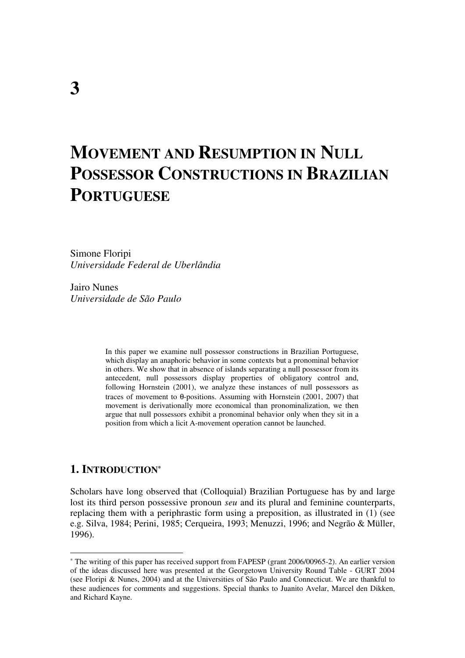# **MOVEMENT AND RESUMPTION IN NULL POSSESSOR CONSTRUCTIONS IN BRAZILIAN PORTUGUESE**

Simone Floripi *Universidade Federal de Uberlândia* 

Jairo Nunes *Universidade de São Paulo* 

> In this paper we examine null possessor constructions in Brazilian Portuguese, which display an anaphoric behavior in some contexts but a pronominal behavior in others. We show that in absence of islands separating a null possessor from its antecedent, null possessors display properties of obligatory control and, following Hornstein (2001), we analyze these instances of null possessors as traces of movement to θ-positions. Assuming with Hornstein (2001, 2007) that movement is derivationally more economical than pronominalization, we then argue that null possessors exhibit a pronominal behavior only when they sit in a position from which a licit A-movement operation cannot be launched.

### **1. INTRODUCTION\***

 $\overline{a}$ 

Scholars have long observed that (Colloquial) Brazilian Portuguese has by and large lost its third person possessive pronoun *seu* and its plural and feminine counterparts, replacing them with a periphrastic form using a preposition, as illustrated in (1) (see e.g. Silva, 1984; Perini, 1985; Cerqueira, 1993; Menuzzi, 1996; and Negrão & Müller, 1996).

<sup>\*</sup> The writing of this paper has received support from FAPESP (grant 2006/00965-2). An earlier version of the ideas discussed here was presented at the Georgetown University Round Table - GURT 2004 (see Floripi & Nunes, 2004) and at the Universities of São Paulo and Connecticut. We are thankful to these audiences for comments and suggestions. Special thanks to Juanito Avelar, Marcel den Dikken, and Richard Kayne.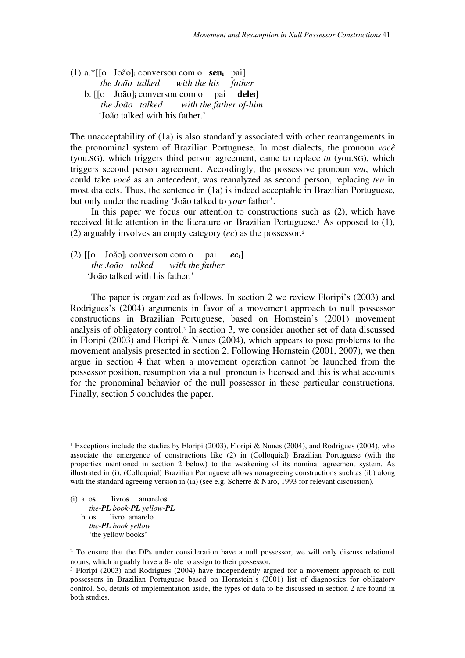(1) a.\*[[o João]i conversou com o **seui** pai]  *the João talked with the his father*  b. [[o João]i conversou com o pai **delei**]  *the João talked with the father of-him*  'João talked with his father.'

The unacceptability of (1a) is also standardly associated with other rearrangements in the pronominal system of Brazilian Portuguese. In most dialects, the pronoun *você* (you.SG), which triggers third person agreement, came to replace *tu* (you.SG), which triggers second person agreement. Accordingly, the possessive pronoun *seu*, which could take *você* as an antecedent, was reanalyzed as second person, replacing *teu* in most dialects. Thus, the sentence in (1a) is indeed acceptable in Brazilian Portuguese, but only under the reading 'João talked to *your* father'.

In this paper we focus our attention to constructions such as (2), which have received little attention in the literature on Brazilian Portuguese.<sup>1</sup> As opposed to (1), (2) arguably involves an empty category (*ec*) as the possessor.<sup>2</sup>

(2) [[o João]i conversou com o pai *ec***i**]  *the João talked with the father*  'João talked with his father.'

The paper is organized as follows. In section 2 we review Floripi's (2003) and Rodrigues's (2004) arguments in favor of a movement approach to null possessor constructions in Brazilian Portuguese, based on Hornstein's (2001) movement analysis of obligatory control.<sup>3</sup> In section 3, we consider another set of data discussed in Floripi (2003) and Floripi & Nunes (2004), which appears to pose problems to the movement analysis presented in section 2. Following Hornstein (2001, 2007), we then argue in section 4 that when a movement operation cannot be launched from the possessor position, resumption via a null pronoun is licensed and this is what accounts for the pronominal behavior of the null possessor in these particular constructions. Finally, section 5 concludes the paper.

(i) a. o**s** livro**s** amarelo**s**  *the-PL book-PL yellow-PL* b. os livro amarelo  *the-PL book yellow*  'the yellow books'

 $\overline{a}$ 

<sup>&</sup>lt;sup>1</sup> Exceptions include the studies by Floripi (2003), Floripi & Nunes (2004), and Rodrigues (2004), who associate the emergence of constructions like (2) in (Colloquial) Brazilian Portuguese (with the properties mentioned in section 2 below) to the weakening of its nominal agreement system. As illustrated in (i), (Colloquial) Brazilian Portuguese allows nonagreeing constructions such as (ib) along with the standard agreeing version in (ia) (see e.g. Scherre & Naro, 1993 for relevant discussion).

<sup>&</sup>lt;sup>2</sup> To ensure that the DPs under consideration have a null possessor, we will only discuss relational nouns, which arguably have a θ-role to assign to their possessor.

<sup>3</sup> Floripi (2003) and Rodrigues (2004) have independently argued for a movement approach to null possessors in Brazilian Portuguese based on Hornstein's (2001) list of diagnostics for obligatory control. So, details of implementation aside, the types of data to be discussed in section 2 are found in both studies.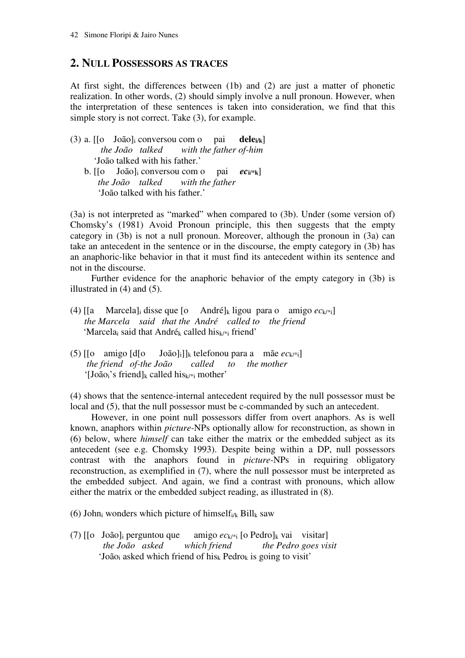# **2. NULL POSSESSORS AS TRACES**

At first sight, the differences between (1b) and (2) are just a matter of phonetic realization. In other words, (2) should simply involve a null pronoun. However, when the interpretation of these sentences is taken into consideration, we find that this simple story is not correct. Take (3), for example.

- (3) a. [[o João]i conversou com o pai **delei/k**]  *the João talked with the father of-him*  'João talked with his father.'
	- b. [[o João]i conversou com o pai *ec***i/\*k**] *the João talked with the father*  'João talked with his father.'

(3a) is not interpreted as "marked" when compared to (3b). Under (some version of) Chomsky's (1981) Avoid Pronoun principle, this then suggests that the empty category in (3b) is not a null pronoun. Moreover, although the pronoun in (3a) can take an antecedent in the sentence or in the discourse, the empty category in (3b) has an anaphoric-like behavior in that it must find its antecedent within its sentence and not in the discourse.

 Further evidence for the anaphoric behavior of the empty category in (3b) is illustrated in (4) and (5).

- (4)  $[[a \t Marcela]_i$  disse que  $[o \t Andr\'e]_k$  ligou para o amigo  $ec_{k/*i}]$  *the Marcela said that the André called to the friend*  'Marcela<sub>i</sub> said that André<sub>k</sub> called his $_{k/*i}$  friend'
- (5)  $\begin{bmatrix} 0 & \text{amigo} \end{bmatrix}$   $\begin{bmatrix} d & \text{João} \end{bmatrix}$ <sub>k</sub> telefonou para a mãe  $ec_{k}$ <sub>i</sub>]  *the friend of-the João called to the mother*  '[João<sub>i</sub>'s friend]<sub>k</sub> called his $_{k/*i}$  mother'

(4) shows that the sentence-internal antecedent required by the null possessor must be local and (5), that the null possessor must be c-commanded by such an antecedent.

 However, in one point null possessors differ from overt anaphors. As is well known, anaphors within *picture-*NPs optionally allow for reconstruction, as shown in (6) below, where *himself* can take either the matrix or the embedded subject as its antecedent (see e.g. Chomsky 1993). Despite being within a DP, null possessors contrast with the anaphors found in *picture-*NPs in requiring obligatory reconstruction, as exemplified in (7), where the null possessor must be interpreted as the embedded subject. And again, we find a contrast with pronouns, which allow either the matrix or the embedded subject reading, as illustrated in (8).

(6) John<sub>i</sub> wonders which picture of himself<sub>i/k</sub> Bill<sub>k</sub> saw

(7) [[o João]i perguntou que amigo *ec*k/\*i [o Pedro]k vai visitar] *the Pedro goes visit* 'João<sub>i</sub> asked which friend of his<sub>k</sub> Pedro<sub>k</sub> is going to visit'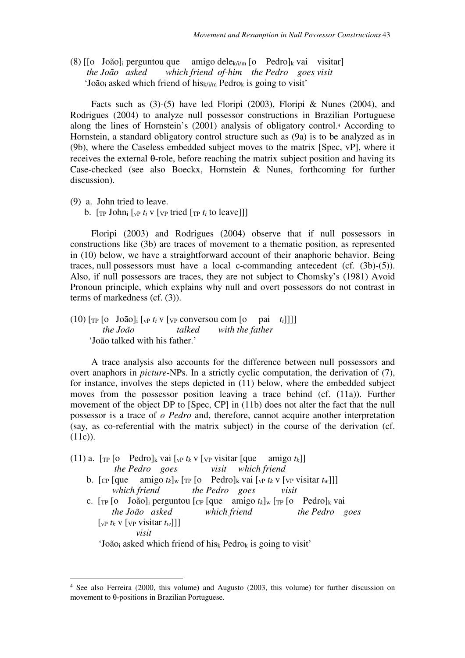(8)  $\lceil \cdot \rceil$  João]<sub>i</sub> perguntou que amigo dele<sub>k/i/m</sub>  $\lceil \cdot \cdot \rceil$  Pedro]<sub>k</sub> vai visitar  *the João asked which friend of-him the Pedro goes visit*   $\text{Yoão}_i$  asked which friend of his $k / \text{i/m}$  Pedrok is going to visit'

Facts such as (3)-(5) have led Floripi (2003), Floripi & Nunes (2004), and Rodrigues (2004) to analyze null possessor constructions in Brazilian Portuguese along the lines of Hornstein's (2001) analysis of obligatory control.<sup>4</sup> According to Hornstein, a standard obligatory control structure such as (9a) is to be analyzed as in (9b), where the Caseless embedded subject moves to the matrix [Spec, vP], where it receives the external θ-role, before reaching the matrix subject position and having its Case-checked (see also Boeckx, Hornstein & Nunes, forthcoming for further discussion).

(9) a. John tried to leave.

 $\overline{a}$ 

b.  $[\text{TP John}_i]_{vP} t_i v [\text{VP tried } [\text{TP } t_i]_{vP}$ 

 Floripi (2003) and Rodrigues (2004) observe that if null possessors in constructions like (3b) are traces of movement to a thematic position, as represented in (10) below, we have a straightforward account of their anaphoric behavior. Being traces, null possessors must have a local c-commanding antecedent (cf. (3b)-(5)). Also, if null possessors are traces, they are not subject to Chomsky's (1981) Avoid Pronoun principle, which explains why null and overt possessors do not contrast in terms of markedness (cf. (3)).

(10) [TP [o João]i [vP *ti* v [VP conversou com [o pai *ti*]]]]  *the João talked with the father*  'João talked with his father.'

 A trace analysis also accounts for the difference between null possessors and overt anaphors in *picture-*NPs. In a strictly cyclic computation, the derivation of (7), for instance, involves the steps depicted in (11) below, where the embedded subject moves from the possessor position leaving a trace behind (cf. (11a)). Further movement of the object DP to [Spec, CP] in (11b) does not alter the fact that the null possessor is a trace of *o Pedro* and, therefore, cannot acquire another interpretation (say, as co-referential with the matrix subject) in the course of the derivation (cf. (11c)).

(11) a.  $[\text{TP} \text{[o} \text{Pedro}]_k \text{ vai} [\text{VP} \text{t}_k \text{V}] \text{V} \text{v} \text{isi} \text{tar} [\text{que} \text{amigo} \text{t}_k]]$  *the Pedro goes visit which friend*  b. [ $\text{CP}$  [que amigo  $t_k$ ]<sub>w</sub> [ $\text{TP}$  [o Pedro]<sub>k</sub> vai [ $\text{VP}$   $t_k$  v [ $\text{VP}$  visitar  $t_w$ ]]]

*which friend the Pedro goes visit* 

c.  $[\text{TP} \text{[o} \quad \text{João}]_i$  perguntou  $[\text{CP} \text{[que} \quad \text{amigo } t_k]_w$   $[\text{TP} \text{[o} \quad \text{Pedro}]_k$  vai *the João asked which friend the Pedro goes*   $[\nabla_{\mathbf{v}} \mathbf{v}_k \mathbf{v} \cdot (\nabla_{\mathbf{v}} \mathbf{v}_k \cdot \mathbf{v}_k)]$ *visit* 

 $\text{Yoão}_i$  asked which friend of hisk Pedrok is going to visit'

<sup>4</sup> See also Ferreira (2000, this volume) and Augusto (2003, this volume) for further discussion on movement to θ-positions in Brazilian Portuguese.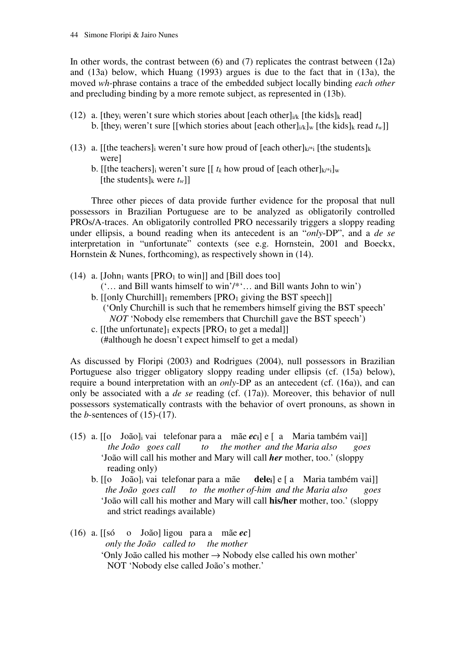In other words, the contrast between  $(6)$  and  $(7)$  replicates the contrast between  $(12a)$ and (13a) below, which Huang (1993) argues is due to the fact that in (13a), the moved *wh*-phrase contains a trace of the embedded subject locally binding *each other* and precluding binding by a more remote subject, as represented in (13b).

- (12) a. [they<sub>i</sub> weren't sure which stories about [each other] $_{i/k}$  [the kids]<sub>k</sub> read] b. [they<sub>i</sub> weren't sure [[which stories about [each other] $_{i/k}$ ]<sub>*w*</sub> [the kids]<sub>*k*</sub> read  $t_w$ ]]
- (13) a. [[the teachers] weren't sure how proud of [each other] $k^*$  [the students] $k$  were]
	- b. [[the teachers]<sub>i</sub> weren't sure  $[[ t_k \text{ how proud of } ]$  [each other] $k^*$ <sub>i</sub>]w [the students]<sub>k</sub> were  $t_w$ ]]

 Three other pieces of data provide further evidence for the proposal that null possessors in Brazilian Portuguese are to be analyzed as obligatorily controlled PROs/A-traces. An obligatorily controlled PRO necessarily triggers a sloppy reading under ellipsis, a bound reading when its antecedent is an "*only*-DP", and a *de se*  interpretation in "unfortunate" contexts (see e.g. Hornstein, 2001 and Boeckx, Hornstein & Nunes, forthcoming), as respectively shown in (14).

- (14) a. [John<sub>1</sub> wants [PRO<sub>1</sub> to win]] and [Bill does too] ('… and Bill wants himself to win'/\*'… and Bill wants John to win')
	- b.  $[[Only Churchill]$  remembers  $[PRO<sub>1</sub>$  giving the BST speech $]$  ('Only Churchill is such that he remembers himself giving the BST speech' *NOT* 'Nobody else remembers that Churchill gave the BST speech')
	- c. [[the unfortunate]<sub>1</sub> expects [PRO<sub>1</sub> to get a medal]] (#although he doesn't expect himself to get a medal)

As discussed by Floripi (2003) and Rodrigues (2004), null possessors in Brazilian Portuguese also trigger obligatory sloppy reading under ellipsis (cf. (15a) below), require a bound interpretation with an *only*-DP as an antecedent (cf. (16a)), and can only be associated with a *de se* reading (cf. (17a)). Moreover, this behavior of null possessors systematically contrasts with the behavior of overt pronouns, as shown in the *b*-sentences of  $(15)-(17)$ .

- (15) a. [[o João]i vai telefonar para a mãe *ec***i**] e [ a Maria também vai]]  *the João goes call to the mother and the Maria also goes*  'João will call his mother and Mary will call *her* mother, too.' (sloppy reading only)
	- b. [[o João]i vai telefonar para a mãe **delei**] e [ a Maria também vai]]  *the João goes call to the mother of-him and the Maria also goes*  'João will call his mother and Mary will call **his/her** mother, too.' (sloppy and strict readings available)
- (16) a. [[só o João] ligou para a mãe *ec*]  *only the João called to the mother*  'Only João called his mother → Nobody else called his own mother' NOT 'Nobody else called João's mother.'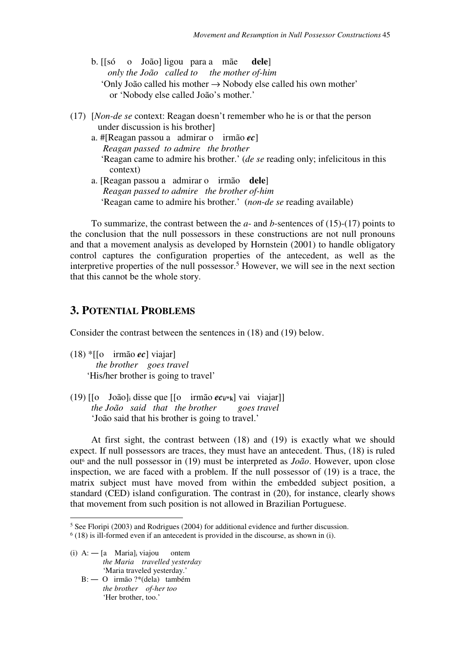- b. [[só o João] ligou para a mãe **dele**]  *only the João called to the mother of-him*  'Only João called his mother → Nobody else called his own mother' or 'Nobody else called João's mother.'
- (17) [*Non-de se* context: Reagan doesn't remember who he is or that the person under discussion is his brother]
	- a. #[Reagan passou a admirar o irmão *ec*]  *Reagan passed to admire the brother*  'Reagan came to admire his brother.' (*de se* reading only; infelicitous in this context)
	- a. [Reagan passou a admirar o irmão **dele**]  *Reagan passed to admire the brother of-him*  'Reagan came to admire his brother.' (*non*-*de se* reading available)

To summarize, the contrast between the *a*- and *b*-sentences of (15)-(17) points to the conclusion that the null possessors in these constructions are not null pronouns and that a movement analysis as developed by Hornstein (2001) to handle obligatory control captures the configuration properties of the antecedent, as well as the interpretive properties of the null possessor.<sup>5</sup> However, we will see in the next section that this cannot be the whole story.

## **3. POTENTIAL PROBLEMS**

Consider the contrast between the sentences in (18) and (19) below.

- (18) \*[[o irmão *ec*] viajar]  *the brother goes travel* 'His/her brother is going to travel'
- (19)  $\begin{bmatrix} 0 \\ \end{bmatrix}$  João]<sub>i</sub> disse que  $\begin{bmatrix} 0 \\ \end{bmatrix}$  irmão  $ec_i$ <sup>\*</sup>k} vai viajar  *the João said that the brother goes travel*  'João said that his brother is going to travel.'

 At first sight, the contrast between (18) and (19) is exactly what we should expect. If null possessors are traces, they must have an antecedent. Thus, (18) is ruled out<sup>6</sup> and the null possessor in (19) must be interpreted as *João*. However, upon close inspection, we are faced with a problem. If the null possessor of (19) is a trace, the matrix subject must have moved from within the embedded subject position, a standard (CED) island configuration. The contrast in (20), for instance, clearly shows that movement from such position is not allowed in Brazilian Portuguese.

(i)  $A: -[a \text{ Maria}]$  viajou ontem  *the Maria travelled yesterday*  'Maria traveled yesterday.'

 $\overline{a}$ 

 B: ― O irmão ?\*(dela) também  *the brother of-her too*  'Her brother, too.'

<sup>5</sup> See Floripi (2003) and Rodrigues (2004) for additional evidence and further discussion.

 $<sup>6</sup>$  (18) is ill-formed even if an antecedent is provided in the discourse, as shown in (i).</sup>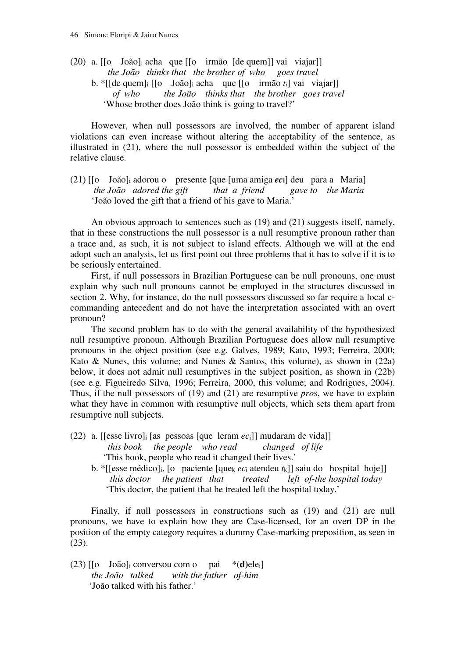(20) a. [[o João]i acha que [[o irmão [de quem]] vai viajar]]  *the João thinks that the brother of who goes travel*  b. \*[[de quem]i [[o João]i acha que [[o irmão *ti*] vai viajar]]  *of who the João thinks that the brother goes travel*  'Whose brother does João think is going to travel?'

 However, when null possessors are involved, the number of apparent island violations can even increase without altering the acceptability of the sentence, as illustrated in (21), where the null possessor is embedded within the subject of the relative clause.

(21) [[o João]i adorou o presente [que [uma amiga *ec***i**] deu para a Maria] *the João adored the gift that a friend* 'João loved the gift that a friend of his gave to Maria.'

 An obvious approach to sentences such as (19) and (21) suggests itself, namely, that in these constructions the null possessor is a null resumptive pronoun rather than a trace and, as such, it is not subject to island effects. Although we will at the end adopt such an analysis, let us first point out three problems that it has to solve if it is to be seriously entertained.

 First, if null possessors in Brazilian Portuguese can be null pronouns, one must explain why such null pronouns cannot be employed in the structures discussed in section 2. Why, for instance, do the null possessors discussed so far require a local ccommanding antecedent and do not have the interpretation associated with an overt pronoun?

 The second problem has to do with the general availability of the hypothesized null resumptive pronoun. Although Brazilian Portuguese does allow null resumptive pronouns in the object position (see e.g. Galves, 1989; Kato, 1993; Ferreira, 2000; Kato & Nunes, this volume; and Nunes & Santos, this volume), as shown in  $(22a)$ below, it does not admit null resumptives in the subject position, as shown in (22b) (see e.g. Figueiredo Silva, 1996; Ferreira, 2000, this volume; and Rodrigues, 2004). Thus, if the null possessors of (19) and (21) are resumptive *pro*s, we have to explain what they have in common with resumptive null objects, which sets them apart from resumptive null subjects.

- (22) a. [[esse livro]i [as pessoas [que leram *ec*i]] mudaram de vida]] *this book the people who read changed of life*  'This book, people who read it changed their lives.'
	- b. \*[[esse médico]<sub>i</sub>, [o paciente [que<sub>k</sub>  $ec_i$  atendeu  $t_k$ ]] saiu do hospital hoje]]  *this doctor the patient that treated left of-the hospital today*  'This doctor, the patient that he treated left the hospital today.'

Finally, if null possessors in constructions such as (19) and (21) are null pronouns, we have to explain how they are Case-licensed, for an overt DP in the position of the empty category requires a dummy Case-marking preposition, as seen in (23).

(23) [[o João]i conversou com o pai \*(**d)**elei]  *the João talked with the father of-him*  'João talked with his father.'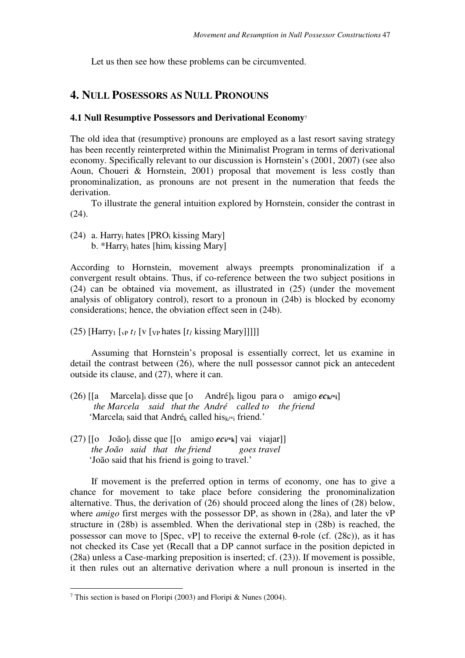Let us then see how these problems can be circumvented.

## **4. NULL POSESSORS AS NULL PRONOUNS**

#### **4.1 Null Resumptive Possessors and Derivational Economy**<sup>7</sup>

The old idea that (resumptive) pronouns are employed as a last resort saving strategy has been recently reinterpreted within the Minimalist Program in terms of derivational economy. Specifically relevant to our discussion is Hornstein's (2001, 2007) (see also Aoun, Choueri & Hornstein, 2001) proposal that movement is less costly than pronominalization, as pronouns are not present in the numeration that feeds the derivation.

To illustrate the general intuition explored by Hornstein, consider the contrast in (24).

(24) a. Harry<sub>i</sub> hates  $[PRO<sub>i</sub>$  kissing Mary] b. \*Harryi hates [himi kissing Mary]

According to Hornstein, movement always preempts pronominalization if a convergent result obtains. Thus, if co-reference between the two subject positions in (24) can be obtained via movement, as illustrated in (25) (under the movement analysis of obligatory control), resort to a pronoun in (24b) is blocked by economy considerations; hence, the obviation effect seen in (24b).

(25) [Harry<sub>1</sub> [<sub>vP</sub>  $t_I$  [v [<sub>VP</sub> hates [ $t_I$  kissing Mary]]]]]

 Assuming that Hornstein's proposal is essentially correct, let us examine in detail the contrast between (26), where the null possessor cannot pick an antecedent outside its clause, and (27), where it can.

- (26)  $\begin{bmatrix} \begin{bmatrix} a & \text{Marcela} \end{bmatrix} \end{bmatrix}$  disse que  $\begin{bmatrix} 0 & \text{André} \end{bmatrix}$  ligou para o amigo  $ec_{k}$  i  *the Marcela said that the André called to the friend*  'Marcelai said that Andrék called hisk/\*i friend.'
- (27)  $\begin{bmatrix} 0 & \text{João} \end{bmatrix}$  disse que  $\begin{bmatrix} 0 & \text{amigo } e\text{Cu}^*\text{k} \end{bmatrix}$  vai viajar  *the João said that the friend goes travel*  'João said that his friend is going to travel.'

If movement is the preferred option in terms of economy, one has to give a chance for movement to take place before considering the pronominalization alternative. Thus, the derivation of (26) should proceed along the lines of (28) below, where *amigo* first merges with the possessor DP, as shown in (28a), and later the vP structure in (28b) is assembled. When the derivational step in (28b) is reached, the possessor can move to [Spec, vP] to receive the external θ-role (cf.  $(28c)$ ), as it has not checked its Case yet (Recall that a DP cannot surface in the position depicted in (28a) unless a Case-marking preposition is inserted; cf. (23)). If movement is possible, it then rules out an alternative derivation where a null pronoun is inserted in the

 $\overline{a}$ 

<sup>7</sup> This section is based on Floripi (2003) and Floripi & Nunes (2004).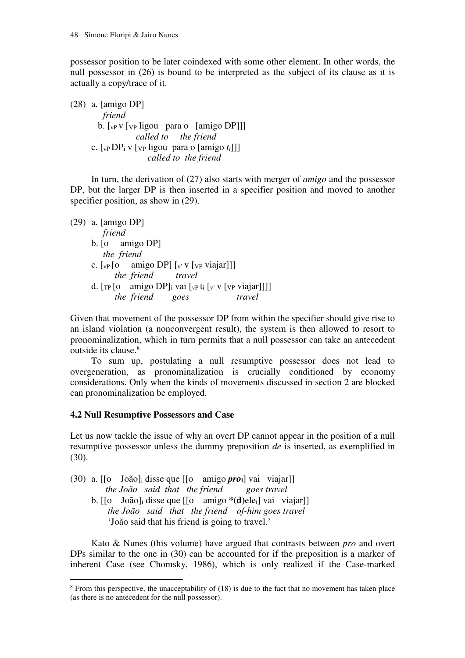possessor position to be later coindexed with some other element. In other words, the null possessor in (26) is bound to be interpreted as the subject of its clause as it is actually a copy/trace of it.

(28) a. [amigo DP] *friend*  b. [vP v [VP ligou para o [amigo DP]]] *called to the friend*  c. [vP DPi v [VP ligou para o [amigo *ti*]]] *called to the friend*

 In turn, the derivation of (27) also starts with merger of *amigo* and the possessor DP, but the larger DP is then inserted in a specifier position and moved to another specifier position, as show in  $(29)$ .

(29) a. [amigo DP] *friend*  b. [o amigo DP]  *the friend* c.  $\lceil v \rceil$  [o amigo DP]  $\lceil v \rceil$  v  $\lceil v \rceil$  viajar]]] *the friend travel*  d.  $[\text{TP} [o \text{ amigo DP}]_i$  vai  $[\text{VP} t_i] [\text{VP} v_i]$  viajar]]]] *the friend goes travel* 

Given that movement of the possessor DP from within the specifier should give rise to an island violation (a nonconvergent result), the system is then allowed to resort to pronominalization, which in turn permits that a null possessor can take an antecedent outside its clause.<sup>8</sup>

 To sum up, postulating a null resumptive possessor does not lead to overgeneration, as pronominalization is crucially conditioned by economy considerations. Only when the kinds of movements discussed in section 2 are blocked can pronominalization be employed.

#### **4.2 Null Resumptive Possessors and Case**

Let us now tackle the issue of why an overt DP cannot appear in the position of a null resumptive possessor unless the dummy preposition *de* is inserted, as exemplified in (30).

- (30) a. [[o João]i disse que [[o amigo *pro***i**] vai viajar]]  *the João said that the friend goes travel*  b. [[o João]i disse que [[o amigo **\*(d)**elei] vai viajar]]
	- *the João said that the friend of-him goes travel*  'João said that his friend is going to travel.'

 Kato & Nunes (this volume) have argued that contrasts between *pro* and overt DPs similar to the one in (30) can be accounted for if the preposition is a marker of inherent Case (see Chomsky, 1986), which is only realized if the Case-marked

<sup>&</sup>lt;sup>8</sup> From this perspective, the unacceptability of (18) is due to the fact that no movement has taken place (as there is no antecedent for the null possessor).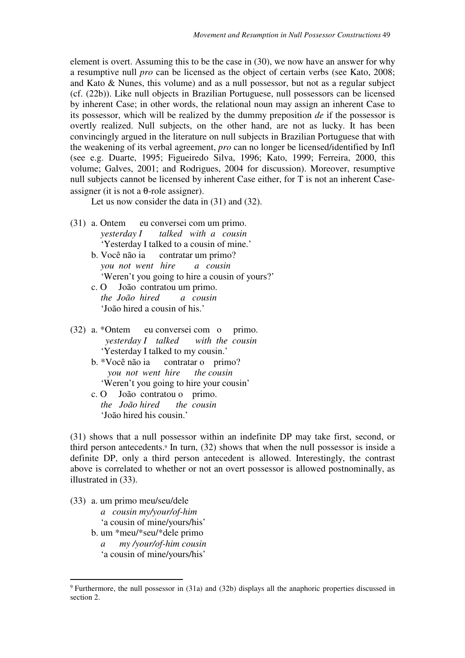element is overt. Assuming this to be the case in (30), we now have an answer for why a resumptive null *pro* can be licensed as the object of certain verbs (see Kato, 2008; and Kato & Nunes, this volume) and as a null possessor, but not as a regular subject (cf. (22b)). Like null objects in Brazilian Portuguese, null possessors can be licensed by inherent Case; in other words, the relational noun may assign an inherent Case to its possessor, which will be realized by the dummy preposition *de* if the possessor is overtly realized. Null subjects, on the other hand, are not as lucky. It has been convincingly argued in the literature on null subjects in Brazilian Portuguese that with the weakening of its verbal agreement, *pro* can no longer be licensed/identified by Infl (see e.g. Duarte, 1995; Figueiredo Silva, 1996; Kato, 1999; Ferreira, 2000, this volume; Galves, 2001; and Rodrigues, 2004 for discussion). Moreover, resumptive null subjects cannot be licensed by inherent Case either, for T is not an inherent Caseassigner (it is not a  $\theta$ -role assigner).

Let us now consider the data in (31) and (32).

- (31) a. Ontem eu conversei com um primo.  *yesterday I talked with a cousin*  'Yesterday I talked to a cousin of mine.'
	- b. Você não ia contratar um primo? *you not went hire a cousin*  'Weren't you going to hire a cousin of yours?' c. O João contratou um primo.
	- *the João hired a cousin*  'João hired a cousin of his.'
- (32) a. \*Ontem eu conversei com o primo.  *yesterday I talked with the cousin*  'Yesterday I talked to my cousin.'
	- b. \*Você não ia contratar o primo? *you not went hire the cousin*  'Weren't you going to hire your cousin'
	- c. O João contratou o primo. *the João hired the cousin*  'João hired his cousin.'

(31) shows that a null possessor within an indefinite DP may take first, second, or third person antecedents.<sup>9</sup> In turn, (32) shows that when the null possessor is inside a definite DP, only a third person antecedent is allowed. Interestingly, the contrast above is correlated to whether or not an overt possessor is allowed postnominally, as illustrated in (33).

(33) a. um primo meu/seu/dele

 $\overline{a}$ 

- *a cousin my/your/of-him*
- 'a cousin of mine/yours/his'
- b. um \*meu/\*seu/\*dele primo *a my /your/of-him cousin*  'a cousin of mine/yours/his'

<sup>9</sup>Furthermore, the null possessor in (31a) and (32b) displays all the anaphoric properties discussed in section 2.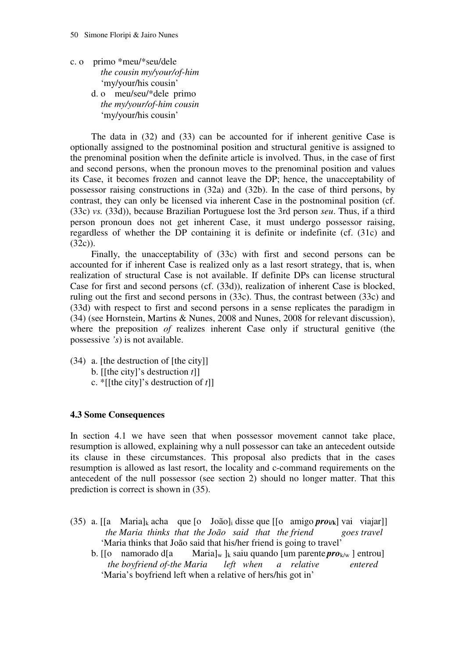- c. o primo \*meu/\*seu/dele *the cousin my/your/of-him*  'my/your/his cousin'
	- d. o meu/seu/\*dele primo *the my/your/of-him cousin*  'my/your/his cousin'

 The data in (32) and (33) can be accounted for if inherent genitive Case is optionally assigned to the postnominal position and structural genitive is assigned to the prenominal position when the definite article is involved. Thus, in the case of first and second persons, when the pronoun moves to the prenominal position and values its Case, it becomes frozen and cannot leave the DP; hence, the unacceptability of possessor raising constructions in (32a) and (32b). In the case of third persons, by contrast, they can only be licensed via inherent Case in the postnominal position (cf. (33c) *vs.* (33d)), because Brazilian Portuguese lost the 3rd person *seu*. Thus, if a third person pronoun does not get inherent Case, it must undergo possessor raising, regardless of whether the DP containing it is definite or indefinite (cf. (31c) and (32c)).

Finally, the unacceptability of (33c) with first and second persons can be accounted for if inherent Case is realized only as a last resort strategy, that is, when realization of structural Case is not available. If definite DPs can license structural Case for first and second persons (cf. (33d)), realization of inherent Case is blocked, ruling out the first and second persons in (33c). Thus, the contrast between (33c) and (33d) with respect to first and second persons in a sense replicates the paradigm in (34) (see Hornstein, Martins & Nunes, 2008 and Nunes, 2008 for relevant discussion), where the preposition *of* realizes inherent Case only if structural genitive (the possessive *'s*) is not available.

(34) a. [the destruction of [the city]] b. [[the city]'s destruction *t*]] c. \*[[the city]'s destruction of *t*]]

#### **4.3 Some Consequences**

In section 4.1 we have seen that when possessor movement cannot take place, resumption is allowed, explaining why a null possessor can take an antecedent outside its clause in these circumstances. This proposal also predicts that in the cases resumption is allowed as last resort, the locality and c-command requirements on the antecedent of the null possessor (see section 2) should no longer matter. That this prediction is correct is shown in (35).

- (35) a. [[a Maria]k acha que [o João]i disse que [[o amigo *pro***i/k**] vai viajar]] *the Maria thinks that the João said that the friend goes travel*  'Maria thinks that João said that his/her friend is going to travel'
	- b. [[o namorado d[a Maria]<sub>w</sub> ]<sub>k</sub> saiu quando [um parente *pro*<sub>k/w</sub> ] entrou]  *the boyfriend of-the Maria left when a relative entered*  'Maria's boyfriend left when a relative of hers/his got in'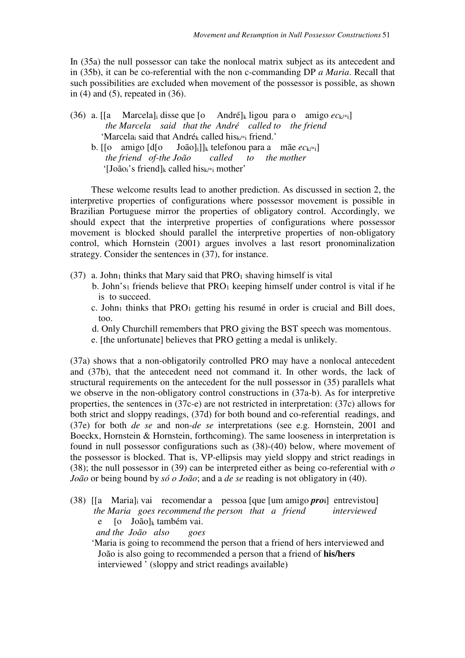In (35a) the null possessor can take the nonlocal matrix subject as its antecedent and in (35b), it can be co-referential with the non c-commanding DP *a Maria*. Recall that such possibilities are excluded when movement of the possessor is possible, as shown in  $(4)$  and  $(5)$ , repeated in  $(36)$ .

- (36) a. [[a Marcela] disse que  $\lbrack 0$  André]<sub>k</sub> ligou para o amigo  $ec_{k}$ <sub>i</sub>]  *the Marcela said that the André called to the friend*  'Marcela<sub>i</sub> said that André<sub>k</sub> called his $_{k}/*$ <sub>i</sub> friend.' b. [[o amigo [d[o João]i]]k telefonou para a mãe *ec*k/\*i]
	- *the friend of-the João called to the mother*  ' $[Jo\tilde{a}o_i\$ 's friend]<sub>k</sub> called his<sub>k/\*i</sub> mother'

 These welcome results lead to another prediction. As discussed in section 2, the interpretive properties of configurations where possessor movement is possible in Brazilian Portuguese mirror the properties of obligatory control. Accordingly, we should expect that the interpretive properties of configurations where possessor movement is blocked should parallel the interpretive properties of non-obligatory control, which Hornstein (2001) argues involves a last resort pronominalization strategy. Consider the sentences in (37), for instance.

- $(37)$  a. John<sub>1</sub> thinks that Mary said that PRO<sub>1</sub> shaving himself is vital
	- b. John's<sub>1</sub> friends believe that  $PRO<sub>1</sub>$  keeping himself under control is vital if he is to succeed.
	- c. John<sub>1</sub> thinks that  $PRO<sub>1</sub>$  getting his resumé in order is crucial and Bill does, too.
	- d. Only Churchill remembers that PRO giving the BST speech was momentous.
	- e. [the unfortunate] believes that PRO getting a medal is unlikely.

(37a) shows that a non-obligatorily controlled PRO may have a nonlocal antecedent and (37b), that the antecedent need not command it. In other words, the lack of structural requirements on the antecedent for the null possessor in (35) parallels what we observe in the non-obligatory control constructions in (37a-b). As for interpretive properties, the sentences in (37c-e) are not restricted in interpretation: (37c) allows for both strict and sloppy readings, (37d) for both bound and co-referential readings, and (37e) for both *de se* and non-*de se* interpretations (see e.g. Hornstein, 2001 and Boeckx, Hornstein & Hornstein, forthcoming). The same looseness in interpretation is found in null possessor configurations such as (38)-(40) below, where movement of the possessor is blocked. That is, VP-ellipsis may yield sloppy and strict readings in (38); the null possessor in (39) can be interpreted either as being co-referential with *o João* or being bound by *só o João*; and a *de se* reading is not obligatory in (40).

(38) [[a Maria]i vai recomendar a pessoa [que [um amigo *pro***i**] entrevistou]  *the Maria goes recommend the person that a friend interviewed*  e [o João]k também vai.  *and the João also goes* 

 'Maria is going to recommend the person that a friend of hers interviewed and João is also going to recommended a person that a friend of **his/hers**  interviewed  $\sqrt{ }$  (sloppy and strict readings available)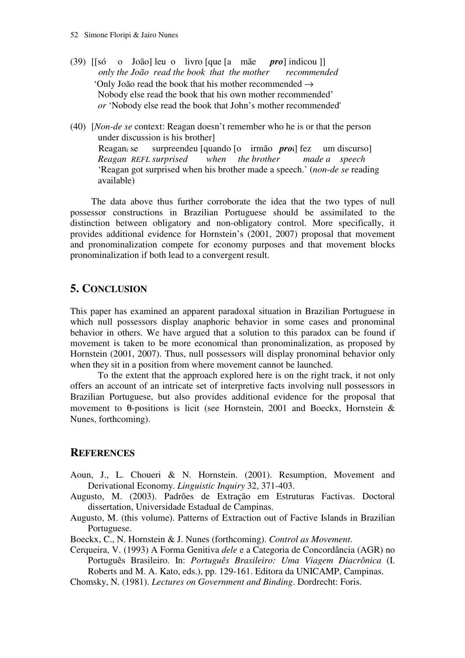- (39) [[só o João] leu o livro [que [a mãe *pro*] indicou ]]  *only the João read the book that the mother recommended*  'Only João read the book that his mother recommended → Nobody else read the book that his own mother recommended' *or* 'Nobody else read the book that John's mother recommended'
- (40) [*Non-de se* context: Reagan doesn't remember who he is or that the person under discussion is his brother] Reagani se surpreendeu [quando [o irmão *pro***i**] fez um discurso] *Reagan REFL surprised when the brother made a speech*  'Reagan got surprised when his brother made a speech.' (*non*-*de se* reading available)

 The data above thus further corroborate the idea that the two types of null possessor constructions in Brazilian Portuguese should be assimilated to the distinction between obligatory and non-obligatory control. More specifically, it provides additional evidence for Hornstein's (2001, 2007) proposal that movement and pronominalization compete for economy purposes and that movement blocks pronominalization if both lead to a convergent result.

# **5. CONCLUSION**

This paper has examined an apparent paradoxal situation in Brazilian Portuguese in which null possessors display anaphoric behavior in some cases and pronominal behavior in others. We have argued that a solution to this paradox can be found if movement is taken to be more economical than pronominalization, as proposed by Hornstein (2001, 2007). Thus, null possessors will display pronominal behavior only when they sit in a position from where movement cannot be launched.

To the extent that the approach explored here is on the right track, it not only offers an account of an intricate set of interpretive facts involving null possessors in Brazilian Portuguese, but also provides additional evidence for the proposal that movement to θ-positions is licit (see Hornstein, 2001 and Boeckx, Hornstein & Nunes, forthcoming).

## **REFERENCES**

- Aoun, J., L. Choueri & N. Hornstein. (2001). Resumption, Movement and Derivational Economy. *Linguistic Inquiry* 32, 371-403.
- Augusto, M. (2003). Padrões de Extração em Estruturas Factivas. Doctoral dissertation, Universidade Estadual de Campinas.
- Augusto, M. (this volume). Patterns of Extraction out of Factive Islands in Brazilian Portuguese.
- Boeckx, C., N. Hornstein & J. Nunes (forthcoming). *Control as Movement*.
- Cerqueira, V. (1993) A Forma Genitiva *dele* e a Categoria de Concordância (AGR) no Português Brasileiro. In: *Português Brasileiro: Uma Viagem Diacrônica* (I. Roberts and M. A. Kato, eds.), pp. 129-161. Editora da UNICAMP, Campinas.
- Chomsky, N. (1981). *Lectures on Government and Binding*. Dordrecht: Foris.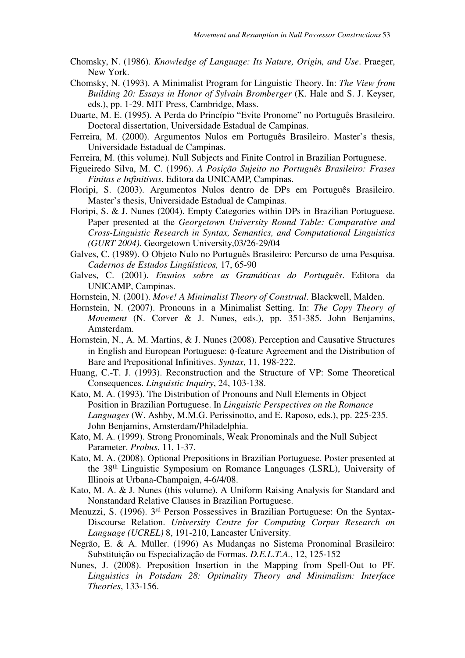- Chomsky, N. (1986). *Knowledge of Language: Its Nature, Origin, and Use*. Praeger, New York.
- Chomsky, N. (1993). A Minimalist Program for Linguistic Theory. In: *The View from Building 20: Essays in Honor of Sylvain Bromberger* (K. Hale and S. J. Keyser, eds.), pp. 1-29. MIT Press, Cambridge, Mass.
- Duarte, M. E. (1995). A Perda do Princípio "Evite Pronome" no Português Brasileiro. Doctoral dissertation, Universidade Estadual de Campinas.
- Ferreira, M. (2000). Argumentos Nulos em Português Brasileiro. Master's thesis, Universidade Estadual de Campinas.
- Ferreira, M. (this volume). Null Subjects and Finite Control in Brazilian Portuguese.
- Figueiredo Silva, M. C. (1996). *A Posição Sujeito no Português Brasileiro: Frases Finitas e Infinitivas*. Editora da UNICAMP, Campinas.
- Floripi, S. (2003). Argumentos Nulos dentro de DPs em Português Brasileiro. Master's thesis, Universidade Estadual de Campinas.
- Floripi, S. & J. Nunes (2004). Empty Categories within DPs in Brazilian Portuguese. Paper presented at the *Georgetown University Round Table: Comparative and Cross-Linguistic Research in Syntax, Semantics, and Computational Linguistics (GURT 2004)*. Georgetown University,03/26-29/04
- Galves, C. (1989). O Objeto Nulo no Português Brasileiro: Percurso de uma Pesquisa. *Cadernos de Estudos Lingüísticos,* 17, 65-90
- Galves, C. (2001). *Ensaios sobre as Gramáticas do Português*. Editora da UNICAMP, Campinas.
- Hornstein, N. (2001). *Move! A Minimalist Theory of Construal*. Blackwell, Malden.
- Hornstein, N. (2007). Pronouns in a Minimalist Setting. In: *The Copy Theory of Movement* (N. Corver & J. Nunes, eds.), pp. 351-385. John Benjamins, Amsterdam.
- Hornstein, N., A. M. Martins, & J. Nunes (2008). Perception and Causative Structures in English and European Portuguese: φ-feature Agreement and the Distribution of Bare and Prepositional Infinitives. *Syntax*, 11, 198-222.
- Huang, C.-T. J. (1993). Reconstruction and the Structure of VP: Some Theoretical Consequences. *Linguistic Inquiry*, 24, 103-138.
- Kato, M. A. (1993). The Distribution of Pronouns and Null Elements in Object Position in Brazilian Portuguese. In *Linguistic Perspectives on the Romance Languages* (W. Ashby, M.M.G. Perissinotto, and E. Raposo, eds.), pp. 225-235. John Benjamins, Amsterdam/Philadelphia.
- Kato, M. A. (1999). Strong Pronominals, Weak Pronominals and the Null Subject Parameter. *Probus*, 11, 1-37.
- Kato, M. A. (2008). Optional Prepositions in Brazilian Portuguese. Poster presented at the 38th Linguistic Symposium on Romance Languages (LSRL), University of Illinois at Urbana-Champaign, 4-6/4/08.
- Kato, M. A. & J. Nunes (this volume). A Uniform Raising Analysis for Standard and Nonstandard Relative Clauses in Brazilian Portuguese.
- Menuzzi, S. (1996). 3rd Person Possessives in Brazilian Portuguese: On the Syntax-Discourse Relation. *University Centre for Computing Corpus Research on Language (UCREL)* 8, 191-210, Lancaster University.
- Negrão, E. & A. Müller. (1996) As Mudanças no Sistema Pronominal Brasileiro: Substituição ou Especialização de Formas. *D.E.L.T.A.*, 12, 125-152
- Nunes, J. (2008). Preposition Insertion in the Mapping from Spell-Out to PF. *Linguistics in Potsdam 28: Optimality Theory and Minimalism: Interface Theories*, 133-156.